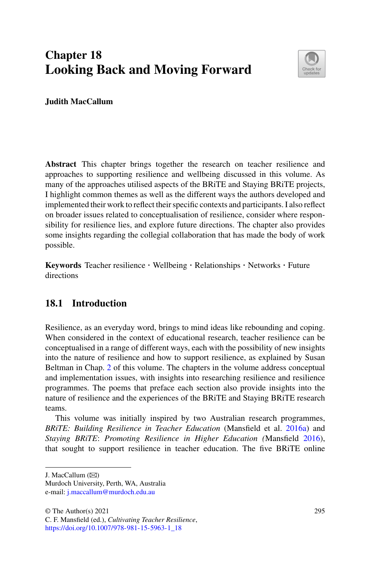# **Chapter 18 Looking Back and Moving Forward**



**Judith MacCallum**

**Abstract** This chapter brings together the research on teacher resilience and approaches to supporting resilience and wellbeing discussed in this volume. As many of the approaches utilised aspects of the BRiTE and Staying BRiTE projects, I highlight common themes as well as the different ways the authors developed and implemented their work to reflect their specific contexts and participants. I also reflect on broader issues related to conceptualisation of resilience, consider where responsibility for resilience lies, and explore future directions. The chapter also provides some insights regarding the collegial collaboration that has made the body of work possible.

**Keywords** Teacher resilience · Wellbeing · Relationships · Networks · Future directions

## **18.1 Introduction**

Resilience, as an everyday word, brings to mind ideas like rebounding and coping. When considered in the context of educational research, teacher resilience can be conceptualised in a range of different ways, each with the possibility of new insights into the nature of resilience and how to support resilience, as explained by Susan Beltman in Chap. 2 of this volume. The chapters in the volume address conceptual and implementation issues, with insights into researching resilience and resilience programmes. The poems that preface each section also provide insights into the nature of resilience and the experiences of the BRiTE and Staying BRiTE research teams.

This volume was initially inspired by two Australian research programmes, *BRiTE: Building Resilience in Teacher Education* (Mansfield et al. [2016a\)](#page-11-0) and *Staying BRiTE*: *Promoting Resilience in Higher Education (*Mansfield [2016\)](#page-11-1), that sought to support resilience in teacher education. The five BRiTE online

J. MacCallum  $(\boxtimes)$ 

Murdoch University, Perth, WA, Australia e-mail: [j.maccallum@murdoch.edu.au](mailto:j.maccallum@murdoch.edu.au)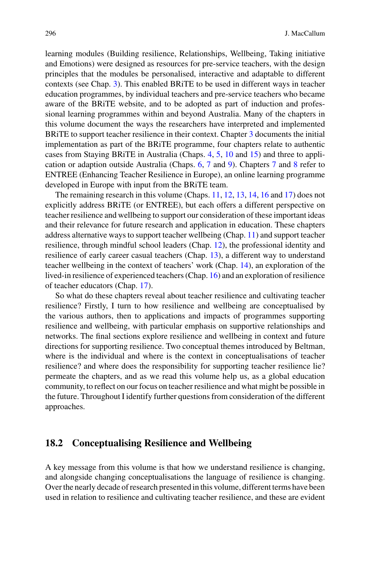learning modules (Building resilience, Relationships, Wellbeing, Taking initiative and Emotions) were designed as resources for pre-service teachers, with the design principles that the modules be personalised, interactive and adaptable to different contexts (see Chap. 3). This enabled BRiTE to be used in different ways in teacher education programmes, by individual teachers and pre-service teachers who became aware of the BRiTE website, and to be adopted as part of induction and professional learning programmes within and beyond Australia. Many of the chapters in this volume document the ways the researchers have interpreted and implemented BRiTE to support teacher resilience in their context. Chapter 3 documents the initial implementation as part of the BRiTE programme, four chapters relate to authentic cases from Staying BRiTE in Australia (Chaps. 4, 5, 10 and 15) and three to application or adaption outside Australia (Chaps. 6, 7 and 9). Chapters 7 and 8 refer to ENTREE (Enhancing Teacher Resilience in Europe), an online learning programme developed in Europe with input from the BRiTE team.

The remaining research in this volume (Chaps. 11, 12, 13, 14, 16 and 17) does not explicitly address BRiTE (or ENTREE), but each offers a different perspective on teacher resilience and wellbeing to support our consideration of these important ideas and their relevance for future research and application in education. These chapters address alternative ways to support teacher wellbeing (Chap. 11) and support teacher resilience, through mindful school leaders (Chap. 12), the professional identity and resilience of early career casual teachers (Chap. 13), a different way to understand teacher wellbeing in the context of teachers' work (Chap. 14), an exploration of the lived-in resilience of experienced teachers (Chap. 16) and an exploration of resilience of teacher educators (Chap. 17).

So what do these chapters reveal about teacher resilience and cultivating teacher resilience? Firstly, I turn to how resilience and wellbeing are conceptualised by the various authors, then to applications and impacts of programmes supporting resilience and wellbeing, with particular emphasis on supportive relationships and networks. The final sections explore resilience and wellbeing in context and future directions for supporting resilience. Two conceptual themes introduced by Beltman, where is the individual and where is the context in conceptualisations of teacher resilience? and where does the responsibility for supporting teacher resilience lie? permeate the chapters, and as we read this volume help us, as a global education community, to reflect on our focus on teacher resilience and what might be possible in the future. Throughout I identify further questions from consideration of the different approaches.

#### **18.2 Conceptualising Resilience and Wellbeing**

A key message from this volume is that how we understand resilience is changing, and alongside changing conceptualisations the language of resilience is changing. Over the nearly decade of research presented in this volume, different terms have been used in relation to resilience and cultivating teacher resilience, and these are evident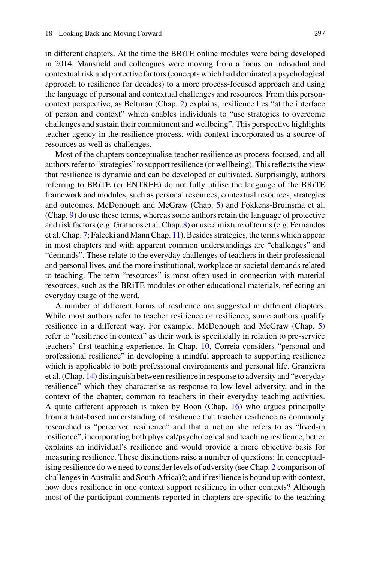in different chapters. At the time the BRiTE online modules were being developed in 2014, Mansfield and colleagues were moving from a focus on individual and contextual risk and protective factors (concepts which had dominated a psychological approach to resilience for decades) to a more process-focused approach and using the language of personal and contextual challenges and resources. From this personcontext perspective, as Beltman (Chap. 2) explains, resilience lies "at the interface of person and context" which enables individuals to "use strategies to overcome challenges and sustain their commitment and wellbeing". This perspective highlights teacher agency in the resilience process, with context incorporated as a source of resources as well as challenges.

Most of the chapters conceptualise teacher resilience as process-focused, and all authors refer to "strategies" to support resilience (or wellbeing). This reflects the view that resilience is dynamic and can be developed or cultivated. Surprisingly, authors referring to BRiTE (or ENTREE) do not fully utilise the language of the BRiTE framework and modules, such as personal resources, contextual resources, strategies and outcomes. McDonough and McGraw (Chap. 5) and Fokkens-Bruinsma et al. (Chap. 9) do use these terms, whereas some authors retain the language of protective and risk factors (e.g. Gratacos et al. Chap. 8) or use a mixture of terms (e.g. Fernandos et al. Chap. 7; Falecki and Mann Chap. 11). Besides strategies, the terms which appear in most chapters and with apparent common understandings are "challenges" and "demands". These relate to the everyday challenges of teachers in their professional and personal lives, and the more institutional, workplace or societal demands related to teaching. The term "resources" is most often used in connection with material resources, such as the BRiTE modules or other educational materials, reflecting an everyday usage of the word.

A number of different forms of resilience are suggested in different chapters. While most authors refer to teacher resilience or resilience, some authors qualify resilience in a different way. For example, McDonough and McGraw (Chap. 5) refer to "resilience in context" as their work is specifically in relation to pre-service teachers' first teaching experience. In Chap. 10, Correia considers "personal and professional resilience" in developing a mindful approach to supporting resilience which is applicable to both professional environments and personal life. Granziera et al. (Chap. 14) distinguish between resilience in response to adversity and "everyday resilience" which they characterise as response to low-level adversity, and in the context of the chapter, common to teachers in their everyday teaching activities. A quite different approach is taken by Boon (Chap. 16) who argues principally from a trait-based understanding of resilience that teacher resilience as commonly researched is "perceived resilience" and that a notion she refers to as "lived-in resilience", incorporating both physical/psychological and teaching resilience, better explains an individual's resilience and would provide a more objective basis for measuring resilience. These distinctions raise a number of questions: In conceptualising resilience do we need to consider levels of adversity (see Chap. 2 comparison of challenges in Australia and South Africa)?; and if resilience is bound up with context, how does resilience in one context support resilience in other contexts? Although most of the participant comments reported in chapters are specific to the teaching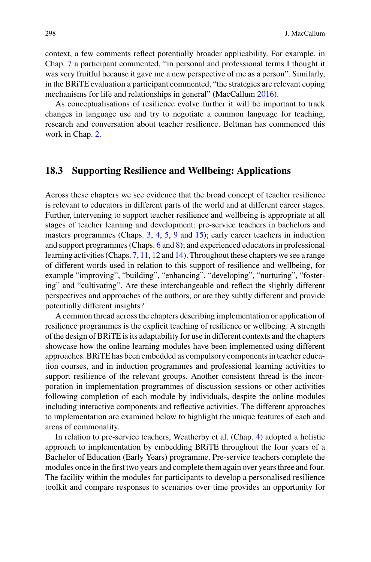context, a few comments reflect potentially broader applicability. For example, in Chap. 7 a participant commented, "in personal and professional terms I thought it was very fruitful because it gave me a new perspective of me as a person". Similarly, in the BRiTE evaluation a participant commented, "the strategies are relevant coping mechanisms for life and relationships in general" (MacCallum [2016\)](#page-11-2).

As conceptualisations of resilience evolve further it will be important to track changes in language use and try to negotiate a common language for teaching, research and conversation about teacher resilience. Beltman has commenced this work in Chap. 2.

#### **18.3 Supporting Resilience and Wellbeing: Applications**

Across these chapters we see evidence that the broad concept of teacher resilience is relevant to educators in different parts of the world and at different career stages. Further, intervening to support teacher resilience and wellbeing is appropriate at all stages of teacher learning and development: pre-service teachers in bachelors and masters programmes (Chaps. 3, 4, 5, 9 and 15); early career teachers in induction and support programmes (Chaps. 6 and 8); and experienced educators in professional learning activities (Chaps. 7, 11, 12 and 14). Throughout these chapters we see a range of different words used in relation to this support of resilience and wellbeing, for example "improving", "building", "enhancing", "developing", "nurturing", "fostering" and "cultivating". Are these interchangeable and reflect the slightly different perspectives and approaches of the authors, or are they subtly different and provide potentially different insights?

A common thread across the chapters describing implementation or application of resilience programmes is the explicit teaching of resilience or wellbeing. A strength of the design of BRiTE is its adaptability for use in different contexts and the chapters showcase how the online learning modules have been implemented using different approaches. BRiTE has been embedded as compulsory components in teacher education courses, and in induction programmes and professional learning activities to support resilience of the relevant groups. Another consistent thread is the incorporation in implementation programmes of discussion sessions or other activities following completion of each module by individuals, despite the online modules including interactive components and reflective activities. The different approaches to implementation are examined below to highlight the unique features of each and areas of commonality.

In relation to pre-service teachers, Weatherby et al. (Chap. 4) adopted a holistic approach to implementation by embedding BRiTE throughout the four years of a Bachelor of Education (Early Years) programme. Pre-service teachers complete the modules once in the first two years and complete them again over years three and four. The facility within the modules for participants to develop a personalised resilience toolkit and compare responses to scenarios over time provides an opportunity for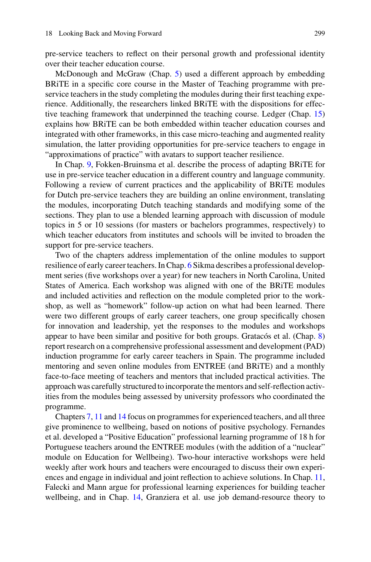pre-service teachers to reflect on their personal growth and professional identity over their teacher education course.

McDonough and McGraw (Chap. 5) used a different approach by embedding BRiTE in a specific core course in the Master of Teaching programme with preservice teachers in the study completing the modules during their first teaching experience. Additionally, the researchers linked BRiTE with the dispositions for effective teaching framework that underpinned the teaching course. Ledger (Chap. 15) explains how BRiTE can be both embedded within teacher education courses and integrated with other frameworks, in this case micro-teaching and augmented reality simulation, the latter providing opportunities for pre-service teachers to engage in "approximations of practice" with avatars to support teacher resilience.

In Chap. 9, Fokken-Bruinsma et al. describe the process of adapting BRiTE for use in pre-service teacher education in a different country and language community. Following a review of current practices and the applicability of BRiTE modules for Dutch pre-service teachers they are building an online environment, translating the modules, incorporating Dutch teaching standards and modifying some of the sections. They plan to use a blended learning approach with discussion of module topics in 5 or 10 sessions (for masters or bachelors programmes, respectively) to which teacher educators from institutes and schools will be invited to broaden the support for pre-service teachers.

Two of the chapters address implementation of the online modules to support resilience of early career teachers. In Chap. 6 Sikma describes a professional development series (five workshops over a year) for new teachers in North Carolina, United States of America. Each workshop was aligned with one of the BRiTE modules and included activities and reflection on the module completed prior to the workshop, as well as "homework" follow-up action on what had been learned. There were two different groups of early career teachers, one group specifically chosen for innovation and leadership, yet the responses to the modules and workshops appear to have been similar and positive for both groups. Gratacós et al. (Chap. 8) report research on a comprehensive professional assessment and development (PAD) induction programme for early career teachers in Spain. The programme included mentoring and seven online modules from ENTREE (and BRiTE) and a monthly face-to-face meeting of teachers and mentors that included practical activities. The approach was carefully structured to incorporate the mentors and self-reflection activities from the modules being assessed by university professors who coordinated the programme.

Chapters 7, 11 and 14 focus on programmes for experienced teachers, and all three give prominence to wellbeing, based on notions of positive psychology. Fernandes et al. developed a "Positive Education" professional learning programme of 18 h for Portuguese teachers around the ENTREE modules (with the addition of a "nuclear" module on Education for Wellbeing). Two-hour interactive workshops were held weekly after work hours and teachers were encouraged to discuss their own experiences and engage in individual and joint reflection to achieve solutions. In Chap. 11, Falecki and Mann argue for professional learning experiences for building teacher wellbeing, and in Chap. 14, Granziera et al. use job demand-resource theory to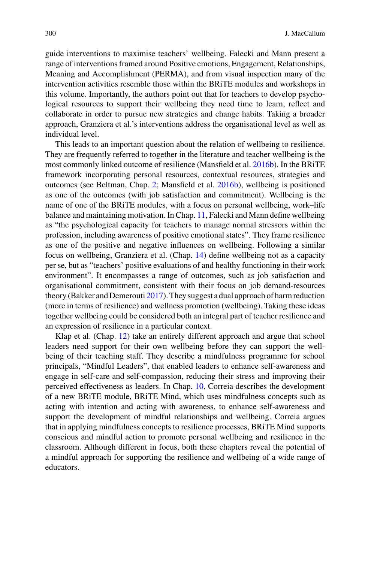guide interventions to maximise teachers' wellbeing. Falecki and Mann present a range of interventions framed around Positive emotions, Engagement, Relationships, Meaning and Accomplishment (PERMA), and from visual inspection many of the intervention activities resemble those within the BRiTE modules and workshops in this volume. Importantly, the authors point out that for teachers to develop psychological resources to support their wellbeing they need time to learn, reflect and collaborate in order to pursue new strategies and change habits. Taking a broader approach, Granziera et al.'s interventions address the organisational level as well as individual level.

This leads to an important question about the relation of wellbeing to resilience. They are frequently referred to together in the literature and teacher wellbeing is the most commonly linked outcome of resilience (Mansfield et al. [2016b\)](#page-11-3). In the BRiTE framework incorporating personal resources, contextual resources, strategies and outcomes (see Beltman, Chap. 2; Mansfield et al. [2016b\)](#page-11-3), wellbeing is positioned as one of the outcomes (with job satisfaction and commitment). Wellbeing is the name of one of the BRiTE modules, with a focus on personal wellbeing, work–life balance and maintaining motivation. In Chap. 11, Falecki and Mann define wellbeing as "the psychological capacity for teachers to manage normal stressors within the profession, including awareness of positive emotional states". They frame resilience as one of the positive and negative influences on wellbeing. Following a similar focus on wellbeing, Granziera et al. (Chap. 14) define wellbeing not as a capacity per se, but as "teachers' positive evaluations of and healthy functioning in their work environment". It encompasses a range of outcomes, such as job satisfaction and organisational commitment, consistent with their focus on job demand-resources theory (Bakker and Demerouti [2017\)](#page-11-4). They suggest a dual approach of harm reduction (more in terms of resilience) and wellness promotion (wellbeing). Taking these ideas together wellbeing could be considered both an integral part of teacher resilience and an expression of resilience in a particular context.

Klap et al. (Chap. 12) take an entirely different approach and argue that school leaders need support for their own wellbeing before they can support the wellbeing of their teaching staff. They describe a mindfulness programme for school principals, "Mindful Leaders", that enabled leaders to enhance self-awareness and engage in self-care and self-compassion, reducing their stress and improving their perceived effectiveness as leaders. In Chap. 10, Correia describes the development of a new BRiTE module, BRiTE Mind, which uses mindfulness concepts such as acting with intention and acting with awareness, to enhance self-awareness and support the development of mindful relationships and wellbeing. Correia argues that in applying mindfulness concepts to resilience processes, BRiTE Mind supports conscious and mindful action to promote personal wellbeing and resilience in the classroom. Although different in focus, both these chapters reveal the potential of a mindful approach for supporting the resilience and wellbeing of a wide range of educators.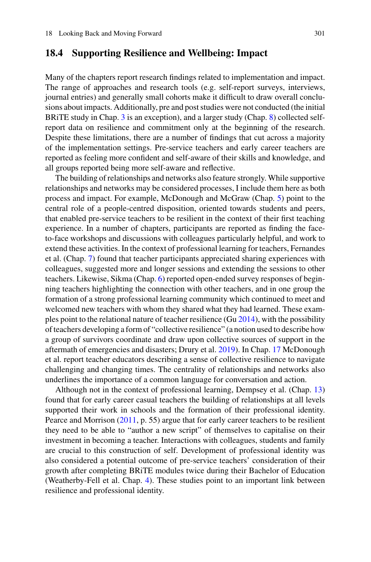#### **18.4 Supporting Resilience and Wellbeing: Impact**

Many of the chapters report research findings related to implementation and impact. The range of approaches and research tools (e.g. self-report surveys, interviews, journal entries) and generally small cohorts make it difficult to draw overall conclusions about impacts. Additionally, pre and post studies were not conducted (the initial BRITE study in Chap. 3 is an exception), and a larger study (Chap. 8) collected selfreport data on resilience and commitment only at the beginning of the research. Despite these limitations, there are a number of findings that cut across a majority of the implementation settings. Pre-service teachers and early career teachers are reported as feeling more confident and self-aware of their skills and knowledge, and all groups reported being more self-aware and reflective.

The building of relationships and networks also feature strongly. While supportive relationships and networks may be considered processes, I include them here as both process and impact. For example, McDonough and McGraw (Chap. 5) point to the central role of a people-centred disposition, oriented towards students and peers, that enabled pre-service teachers to be resilient in the context of their first teaching experience. In a number of chapters, participants are reported as finding the faceto-face workshops and discussions with colleagues particularly helpful, and work to extend these activities. In the context of professional learning for teachers, Fernandes et al. (Chap. 7) found that teacher participants appreciated sharing experiences with colleagues, suggested more and longer sessions and extending the sessions to other teachers. Likewise, Sikma (Chap. 6) reported open-ended survey responses of beginning teachers highlighting the connection with other teachers, and in one group the formation of a strong professional learning community which continued to meet and welcomed new teachers with whom they shared what they had learned. These examples point to the relational nature of teacher resilience (Gu [2014\)](#page-11-5), with the possibility of teachers developing a form of "collective resilience" (a notion used to describe how a group of survivors coordinate and draw upon collective sources of support in the aftermath of emergencies and disasters; Drury et al. [2019\)](#page-11-6). In Chap. 17 McDonough et al. report teacher educators describing a sense of collective resilience to navigate challenging and changing times. The centrality of relationships and networks also underlines the importance of a common language for conversation and action.

Although not in the context of professional learning, Dempsey et al. (Chap. 13) found that for early career casual teachers the building of relationships at all levels supported their work in schools and the formation of their professional identity. Pearce and Morrison [\(2011,](#page-11-7) p. 55) argue that for early career teachers to be resilient they need to be able to "author a new script" of themselves to capitalise on their investment in becoming a teacher. Interactions with colleagues, students and family are crucial to this construction of self. Development of professional identity was also considered a potential outcome of pre-service teachers' consideration of their growth after completing BRiTE modules twice during their Bachelor of Education (Weatherby-Fell et al. Chap. 4). These studies point to an important link between resilience and professional identity.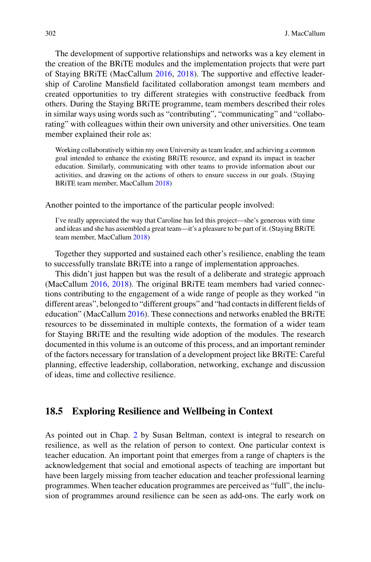The development of supportive relationships and networks was a key element in the creation of the BRiTE modules and the implementation projects that were part of Staying BRiTE (MacCallum [2016,](#page-11-2) [2018\)](#page-11-8). The supportive and effective leadership of Caroline Mansfield facilitated collaboration amongst team members and created opportunities to try different strategies with constructive feedback from others. During the Staying BRiTE programme, team members described their roles in similar ways using words such as "contributing", "communicating" and "collaborating" with colleagues within their own university and other universities. One team member explained their role as:

Working collaboratively within my own University as team leader, and achieving a common goal intended to enhance the existing BRiTE resource, and expand its impact in teacher education. Similarly, communicating with other teams to provide information about our activities, and drawing on the actions of others to ensure success in our goals. (Staying BRiTE team member, MacCallum [2018\)](#page-11-8)

Another pointed to the importance of the particular people involved:

I've really appreciated the way that Caroline has led this project—she's generous with time and ideas and she has assembled a great team—it's a pleasure to be part of it. (Staying BRiTE team member, MacCallum [2018\)](#page-11-8)

Together they supported and sustained each other's resilience, enabling the team to successfully translate BRiTE into a range of implementation approaches.

This didn't just happen but was the result of a deliberate and strategic approach (MacCallum [2016,](#page-11-2) [2018\)](#page-11-8). The original BRiTE team members had varied connections contributing to the engagement of a wide range of people as they worked "in different areas", belonged to "different groups" and "had contacts in different fields of education" (MacCallum [2016\)](#page-11-2). These connections and networks enabled the BRiTE resources to be disseminated in multiple contexts, the formation of a wider team for Staying BRiTE and the resulting wide adoption of the modules. The research documented in this volume is an outcome of this process, and an important reminder of the factors necessary for translation of a development project like BRiTE: Careful planning, effective leadership, collaboration, networking, exchange and discussion of ideas, time and collective resilience.

#### **18.5 Exploring Resilience and Wellbeing in Context**

As pointed out in Chap. 2 by Susan Beltman, context is integral to research on resilience, as well as the relation of person to context. One particular context is teacher education. An important point that emerges from a range of chapters is the acknowledgement that social and emotional aspects of teaching are important but have been largely missing from teacher education and teacher professional learning programmes. When teacher education programmes are perceived as "full", the inclusion of programmes around resilience can be seen as add-ons. The early work on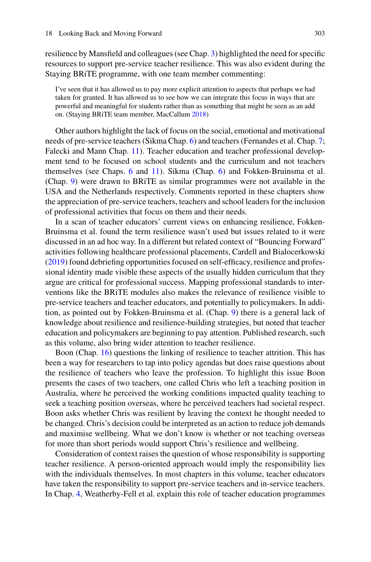resilience by Mansfield and colleagues (see Chap. 3) highlighted the need for specific resources to support pre-service teacher resilience. This was also evident during the Staying BRiTE programme, with one team member commenting:

I've seen that it has allowed us to pay more explicit attention to aspects that perhaps we had taken for granted. It has allowed us to see how we can integrate this focus in ways that are powerful and meaningful for students rather than as something that might be seen as an add on. (Staying BRiTE team member, MacCallum [2018\)](#page-11-8)

Other authors highlight the lack of focus on the social, emotional and motivational needs of pre-service teachers (Sikma Chap. 6) and teachers (Fernandes et al. Chap. 7; Falecki and Mann Chap. 11). Teacher education and teacher professional development tend to be focused on school students and the curriculum and not teachers themselves (see Chaps. 6 and 11). Sikma (Chap. 6) and Fokken-Bruinsma et al. (Chap. 9) were drawn to BRiTE as similar programmes were not available in the USA and the Netherlands respectively. Comments reported in these chapters show the appreciation of pre-service teachers, teachers and school leaders for the inclusion of professional activities that focus on them and their needs.

In a scan of teacher educators' current views on enhancing resilience, Fokken-Bruinsma et al. found the term resilience wasn't used but issues related to it were discussed in an ad hoc way. In a different but related context of "Bouncing Forward" activities following healthcare professional placements, Cardell and Bialocerkowski [\(2019\)](#page-11-9) found debriefing opportunities focused on self-efficacy, resilience and professional identity made visible these aspects of the usually hidden curriculum that they argue are critical for professional success. Mapping professional standards to interventions like the BRiTE modules also makes the relevance of resilience visible to pre-service teachers and teacher educators, and potentially to policymakers. In addition, as pointed out by Fokken-Bruinsma et al. (Chap. 9) there is a general lack of knowledge about resilience and resilience-building strategies, but noted that teacher education and policymakers are beginning to pay attention. Published research, such as this volume, also bring wider attention to teacher resilience.

Boon (Chap. 16) questions the linking of resilience to teacher attrition. This has been a way for researchers to tap into policy agendas but does raise questions about the resilience of teachers who leave the profession. To highlight this issue Boon presents the cases of two teachers, one called Chris who left a teaching position in Australia, where he perceived the working conditions impacted quality teaching to seek a teaching position overseas, where he perceived teachers had societal respect. Boon asks whether Chris was resilient by leaving the context he thought needed to be changed. Chris's decision could be interpreted as an action to reduce job demands and maximise wellbeing. What we don't know is whether or not teaching overseas for more than short periods would support Chris's resilience and wellbeing.

Consideration of context raises the question of whose responsibility is supporting teacher resilience. A person-oriented approach would imply the responsibility lies with the individuals themselves. In most chapters in this volume, teacher educators have taken the responsibility to support pre-service teachers and in-service teachers. In Chap. 4, Weatherby-Fell et al. explain this role of teacher education programmes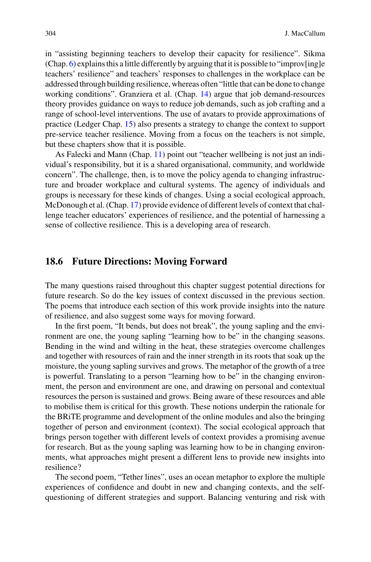in "assisting beginning teachers to develop their capacity for resilience". Sikma (Chap.  $6$ ) explains this a little differently by arguing that it is possible to "improv[ing]e teachers' resilience" and teachers' responses to challenges in the workplace can be addressed through building resilience, whereas often "little that can be done to change working conditions". Granziera et al. (Chap. 14) argue that job demand-resources theory provides guidance on ways to reduce job demands, such as job crafting and a range of school-level interventions. The use of avatars to provide approximations of practice (Ledger Chap. 15) also presents a strategy to change the context to support pre-service teacher resilience. Moving from a focus on the teachers is not simple, but these chapters show that it is possible.

As Falecki and Mann (Chap. 11) point out "teacher wellbeing is not just an individual's responsibility, but it is a shared organisational, community, and worldwide concern". The challenge, then, is to move the policy agenda to changing infrastructure and broader workplace and cultural systems. The agency of individuals and groups is necessary for these kinds of changes. Using a social ecological approach, McDonough et al. (Chap. 17) provide evidence of different levels of context that challenge teacher educators' experiences of resilience, and the potential of harnessing a sense of collective resilience. This is a developing area of research.

#### **18.6 Future Directions: Moving Forward**

The many questions raised throughout this chapter suggest potential directions for future research. So do the key issues of context discussed in the previous section. The poems that introduce each section of this work provide insights into the nature of resilience, and also suggest some ways for moving forward.

In the first poem, "It bends, but does not break", the young sapling and the environment are one, the young sapling "learning how to be" in the changing seasons. Bending in the wind and wilting in the heat, these strategies overcome challenges and together with resources of rain and the inner strength in its roots that soak up the moisture, the young sapling survives and grows. The metaphor of the growth of a tree is powerful. Translating to a person "learning how to be" in the changing environment, the person and environment are one, and drawing on personal and contextual resources the person is sustained and grows. Being aware of these resources and able to mobilise them is critical for this growth. These notions underpin the rationale for the BRiTE programme and development of the online modules and also the bringing together of person and environment (context). The social ecological approach that brings person together with different levels of context provides a promising avenue for research. But as the young sapling was learning how to be in changing environments, what approaches might present a different lens to provide new insights into resilience?

The second poem, "Tether lines", uses an ocean metaphor to explore the multiple experiences of confidence and doubt in new and changing contexts, and the selfquestioning of different strategies and support. Balancing venturing and risk with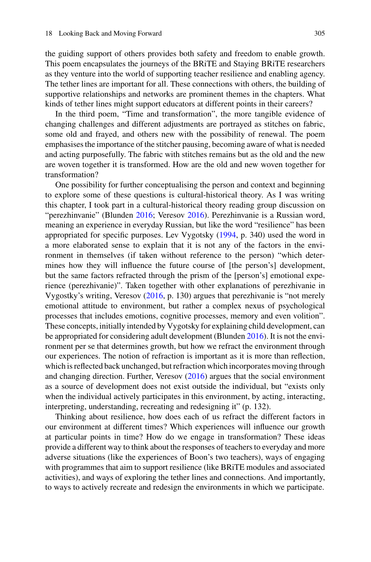the guiding support of others provides both safety and freedom to enable growth. This poem encapsulates the journeys of the BRiTE and Staying BRiTE researchers as they venture into the world of supporting teacher resilience and enabling agency. The tether lines are important for all. These connections with others, the building of supportive relationships and networks are prominent themes in the chapters. What kinds of tether lines might support educators at different points in their careers?

In the third poem, "Time and transformation", the more tangible evidence of changing challenges and different adjustments are portrayed as stitches on fabric, some old and frayed, and others new with the possibility of renewal. The poem emphasises the importance of the stitcher pausing, becoming aware of what is needed and acting purposefully. The fabric with stitches remains but as the old and the new are woven together it is transformed. How are the old and new woven together for transformation?

One possibility for further conceptualising the person and context and beginning to explore some of these questions is cultural-historical theory. As I was writing this chapter, I took part in a cultural-historical theory reading group discussion on "perezhinvanie" (Blunden [2016;](#page-11-10) Veresov [2016\)](#page-11-11). Perezhinvanie is a Russian word, meaning an experience in everyday Russian, but like the word "resilience" has been appropriated for specific purposes. Lev Vygotsky [\(1994,](#page-12-0) p. 340) used the word in a more elaborated sense to explain that it is not any of the factors in the environment in themselves (if taken without reference to the person) "which determines how they will influence the future course of [the person's] development, but the same factors refracted through the prism of the [person's] emotional experience (perezhivanie)". Taken together with other explanations of perezhivanie in Vygostky's writing, Veresov [\(2016,](#page-11-11) p. 130) argues that perezhivanie is "not merely emotional attitude to environment, but rather a complex nexus of psychological processes that includes emotions, cognitive processes, memory and even volition". These concepts, initially intended by Vygotsky for explaining child development, can be appropriated for considering adult development (Blunden [2016\)](#page-11-10). It is not the environment per se that determines growth, but how we refract the environment through our experiences. The notion of refraction is important as it is more than reflection, which is reflected back unchanged, but refraction which incorporates moving through and changing direction. Further, Veresov [\(2016\)](#page-11-11) argues that the social environment as a source of development does not exist outside the individual, but "exists only when the individual actively participates in this environment, by acting, interacting, interpreting, understanding, recreating and redesigning it" (p. 132).

Thinking about resilience, how does each of us refract the different factors in our environment at different times? Which experiences will influence our growth at particular points in time? How do we engage in transformation? These ideas provide a different way to think about the responses of teachers to everyday and more adverse situations (like the experiences of Boon's two teachers), ways of engaging with programmes that aim to support resilience (like BRiTE modules and associated activities), and ways of exploring the tether lines and connections. And importantly, to ways to actively recreate and redesign the environments in which we participate.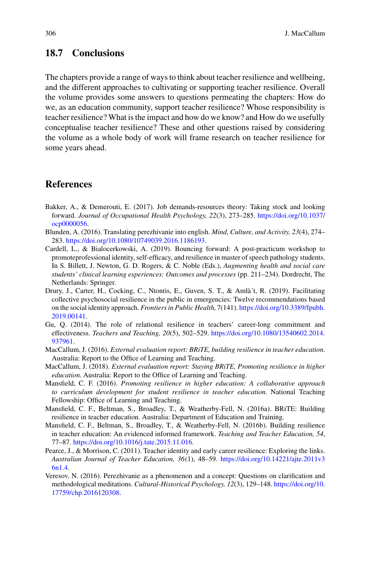### **18.7 Conclusions**

The chapters provide a range of ways to think about teacher resilience and wellbeing, and the different approaches to cultivating or supporting teacher resilience. Overall the volume provides some answers to questions permeating the chapters: How do we, as an education community, support teacher resilience? Whose responsibility is teacher resilience? What is the impact and how do we know? and How do we usefully conceptualise teacher resilience? These and other questions raised by considering the volume as a whole body of work will frame research on teacher resilience for some years ahead.

#### **References**

- <span id="page-11-4"></span>Bakker, A., & Demerouti, E. (2017). Job demands-resources theory: Taking stock and looking forward. *[Journal of Occupational Health Psychology, 22](https://doi.org/10.1037/ocp0000056)*(3), 273–285. https://doi.org/10.1037/ ocp0000056.
- <span id="page-11-10"></span>Blunden, A. (2016). Translating perezhivanie into english. *Mind, Culture, and Activity, 23*(4), 274– 283. [https://doi.org/10.1080/10749039.2016.1186193.](https://doi.org/10.1080/10749039.2016.1186193)
- <span id="page-11-9"></span>Cardell, L., & Bialocerkowski, A. (2019). Bouncing forward: A post-practicum workshop to promoteprofessional identity, self-efficacy, and resilience in master of speech pathology students. In S. Billett, J. Newton, G. D. Rogers, & C. Noble (Eds.), *Augmenting health and social care students' clinical learning experiences: Outcomes and processes* (pp. 211–234). Dordrecht, The Netherlands: Springer.
- <span id="page-11-6"></span>Drury, J., Carter, H., Cocking, C., Ntontis, E., Guven, S. T., & Amlà´t, R. (2019). Facilitating collective psychosocial resilience in the public in emergencies: Twelve recommendations based [on the social identity approach.](https://doi.org/10.3389/fpubh.2019.00141) *Frontiers in Public Health*, 7(141). https://doi.org/10.3389/fpubh. 2019.00141.
- <span id="page-11-5"></span>Gu, Q. (2014). The role of relational resilience in teachers' career-long commitment and effectiveness. *Teachers and Teaching, 20*(5), 502–529. [https://doi.org/10.1080/13540602.2014.](https://doi.org/10.1080/13540602.2014.937961) 937961.
- <span id="page-11-2"></span>MacCallum, J. (2016). *External evaluation report: BRiTE, building resilience in teacher education*. Australia: Report to the Office of Learning and Teaching.
- <span id="page-11-8"></span>MacCallum, J. (2018). *External evaluation report: Staying BRiTE, Promoting resilience in higher education*. Australia: Report to the Office of Learning and Teaching.
- <span id="page-11-1"></span>Mansfield, C. F. (2016). *Promoting resilience in higher education: A collaborative approach to curriculum development for student resilience in teacher education*. National Teaching Fellowship: Office of Learning and Teaching.
- <span id="page-11-0"></span>Mansfield, C. F., Beltman, S., Broadley, T., & Weatherby-Fell, N. (2016a). BRiTE: Building resilience in teacher education. Australia: Department of Education and Training.
- <span id="page-11-3"></span>Mansfield, C. F., Beltman, S., Broadley, T., & Weatherby-Fell, N. (2016b). Building resilience in teacher education: An evidenced informed framework. *Teaching and Teacher Education, 54*, 77–87. [https://doi.org/10.1016/j.tate.2015.11.016.](https://doi.org/10.1016/j.tate.2015.11.016)
- <span id="page-11-7"></span>Pearce, J., & Morrison, C. (2011). Teacher identity and early career resilience: Exploring the links. *[Australian Journal of Teacher Education, 36](https://doi.org/10.14221/ajte.2011v36n1.4)*(1), 48–59. https://doi.org/10.14221/ajte.2011v3 6n1.4.
- <span id="page-11-11"></span>Veresov, N. (2016). Perezhivanie as a phenomenon and a concept: Questions on clarification and methodological meditations. *[Cultural-Historical Psychology, 12](https://doi.org/10.17759/chp.2016120308)*(3), 129–148. https://doi.org/10. 17759/chp.2016120308.